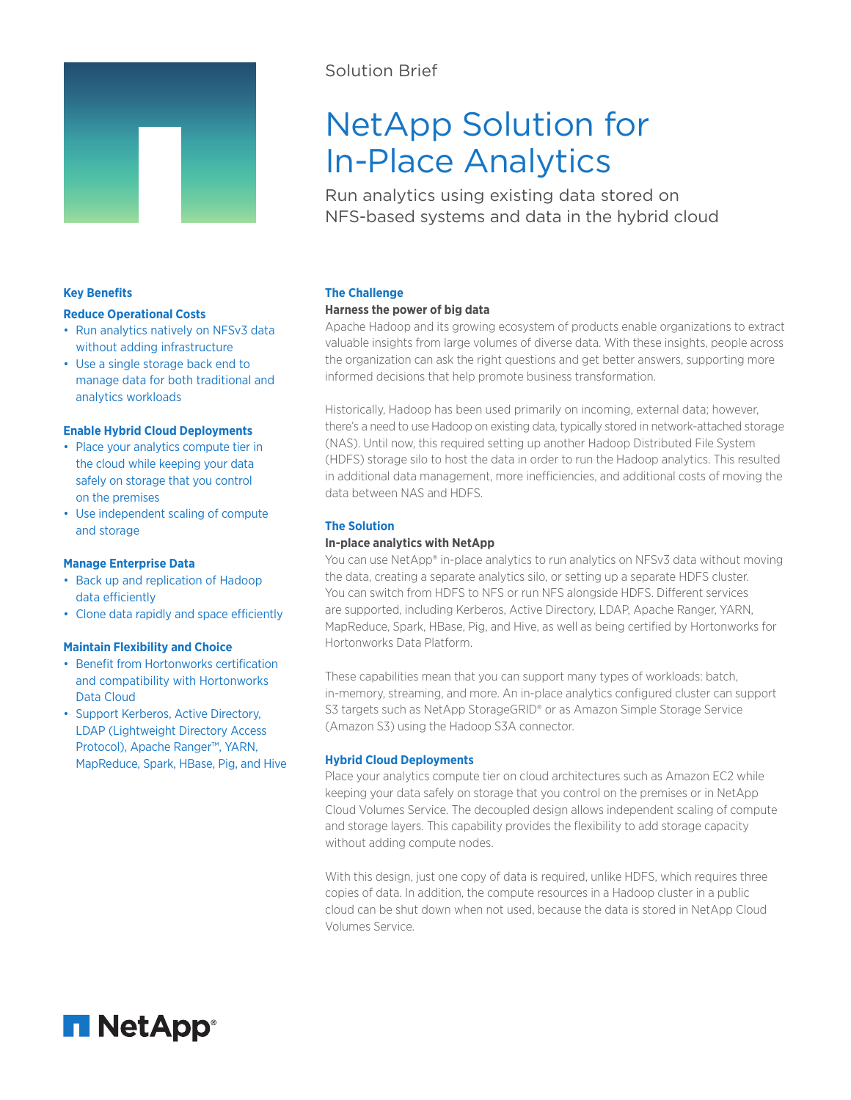

# Solution Brief

# NetApp Solution for In-Place Analytics

Run analytics using existing data stored on NFS-based systems and data in the hybrid cloud

# **Key Benefits**

#### **Reduce Operational Costs**

- Run analytics natively on NFSv3 data without adding infrastructure
- Use a single storage back end to manage data for both traditional and analytics workloads

#### **Enable Hybrid Cloud Deployments**

- Place your analytics compute tier in the cloud while keeping your data safely on storage that you control on the premises
- Use independent scaling of compute and storage

# **Manage Enterprise Data**

- Back up and replication of Hadoop data efficiently
- Clone data rapidly and space efficiently

#### **Maintain Flexibility and Choice**

- Benefit from Hortonworks certification and compatibility with Hortonworks Data Cloud
- Support Kerberos, Active Directory, LDAP (Lightweight Directory Access Protocol), Apache Ranger™, YARN, MapReduce, Spark, HBase, Pig, and Hive

# **The Challenge**

#### **Harness the power of big data**

Apache Hadoop and its growing ecosystem of products enable organizations to extract valuable insights from large volumes of diverse data. With these insights, people across the organization can ask the right questions and get better answers, supporting more informed decisions that help promote business transformation.

Historically, Hadoop has been used primarily on incoming, external data; however, there's a need to use Hadoop on existing data, typically stored in network-attached storage (NAS). Until now, this required setting up another Hadoop Distributed File System (HDFS) storage silo to host the data in order to run the Hadoop analytics. This resulted in additional data management, more inefficiencies, and additional costs of moving the data between NAS and HDFS.

### **The Solution**

#### **In-place analytics with NetApp**

You can use NetApp® in-place analytics to run analytics on NFSv3 data without moving the data, creating a separate analytics silo, or setting up a separate HDFS cluster. You can switch from HDFS to NFS or run NFS alongside HDFS. Different services are supported, including Kerberos, Active Directory, LDAP, Apache Ranger, YARN, MapReduce, Spark, HBase, Pig, and Hive, as well as being certified by Hortonworks for Hortonworks Data Platform.

These capabilities mean that you can support many types of workloads: batch, in-memory, streaming, and more. An in-place analytics configured cluster can support S3 targets such as NetApp StorageGRID® or as Amazon Simple Storage Service (Amazon S3) using the Hadoop S3A connector.

# **Hybrid Cloud Deployments**

Place your analytics compute tier on cloud architectures such as Amazon EC2 while keeping your data safely on storage that you control on the premises or in NetApp Cloud Volumes Service. The decoupled design allows independent scaling of compute and storage layers. This capability provides the flexibility to add storage capacity without adding compute nodes.

With this design, just one copy of data is required, unlike HDFS, which requires three copies of data. In addition, the compute resources in a Hadoop cluster in a public cloud can be shut down when not used, because the data is stored in NetApp Cloud Volumes Service.